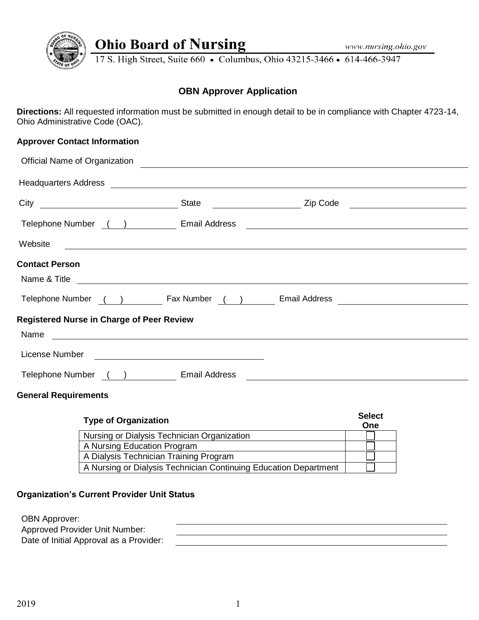

# **Ohio Board of Nursing**

17 S. High Street, Suite 660 • Columbus, Ohio 43215-3466 • 614-466-3947

# **OBN Approver Application**

**Directions:** All requested information must be submitted in enough detail to be in compliance with Chapter 4723-14, Ohio Administrative Code (OAC).

# **Approver Contact Information**

| <b>Official Name of Organization</b> |              |                                                                                                                       |                                                                                                                                                                                                                                                                                                                                                          |
|--------------------------------------|--------------|-----------------------------------------------------------------------------------------------------------------------|----------------------------------------------------------------------------------------------------------------------------------------------------------------------------------------------------------------------------------------------------------------------------------------------------------------------------------------------------------|
|                                      |              |                                                                                                                       |                                                                                                                                                                                                                                                                                                                                                          |
|                                      | <b>State</b> | Zip Code                                                                                                              |                                                                                                                                                                                                                                                                                                                                                          |
|                                      |              |                                                                                                                       |                                                                                                                                                                                                                                                                                                                                                          |
|                                      |              |                                                                                                                       |                                                                                                                                                                                                                                                                                                                                                          |
|                                      |              |                                                                                                                       |                                                                                                                                                                                                                                                                                                                                                          |
|                                      |              |                                                                                                                       |                                                                                                                                                                                                                                                                                                                                                          |
|                                      |              |                                                                                                                       |                                                                                                                                                                                                                                                                                                                                                          |
|                                      |              |                                                                                                                       |                                                                                                                                                                                                                                                                                                                                                          |
|                                      |              |                                                                                                                       |                                                                                                                                                                                                                                                                                                                                                          |
|                                      |              |                                                                                                                       |                                                                                                                                                                                                                                                                                                                                                          |
|                                      |              |                                                                                                                       |                                                                                                                                                                                                                                                                                                                                                          |
|                                      |              | Telephone Number () [2012 [2013] Email Address<br><b>Registered Nurse in Charge of Peer Review</b><br>) Email Address | <u> 1989 - Johann Stoff, deutscher Stoffen und der Stoffen und der Stoffen und der Stoffen und der Stoffen und der</u><br><u> 1989 - Jan Samuel Barbara, martin da shekara ta 1980 - An tsara tsara tsara tsara tsara tsara tsara tsara ts</u><br>Telephone Number ( ) Fax Number ( ) Email Address<br><u> 1989 - Johann Barbara, martxa alemaniar a</u> |

**General Requirements**

| <b>Type of Organization</b>                                      | <b>Select</b><br>One |
|------------------------------------------------------------------|----------------------|
| Nursing or Dialysis Technician Organization                      |                      |
| A Nursing Education Program                                      |                      |
| A Dialysis Technician Training Program                           |                      |
| A Nursing or Dialysis Technician Continuing Education Department |                      |

## **Organization's Current Provider Unit Status**

OBN Approver: Approved Provider Unit Number: Date of Initial Approval as a Provider: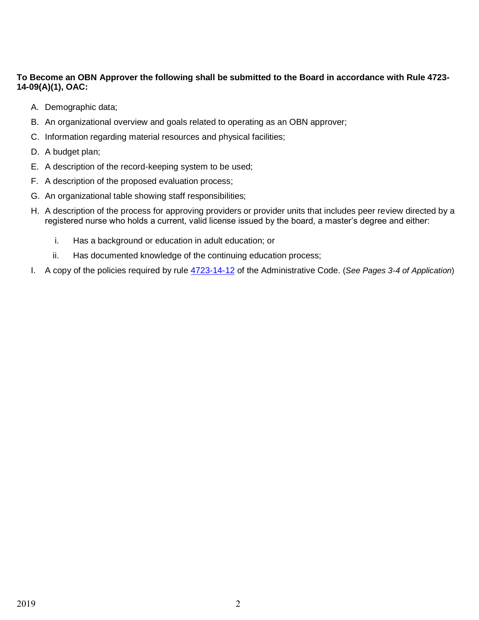# **To Become an OBN Approver the following shall be submitted to the Board in accordance with Rule 4723- 14-09(A)(1), OAC:**

- A. Demographic data;
- B. An organizational overview and goals related to operating as an OBN approver;
- C. Information regarding material resources and physical facilities;
- D. A budget plan;
- E. A description of the record-keeping system to be used;
- F. A description of the proposed evaluation process;
- G. An organizational table showing staff responsibilities;
- H. A description of the process for approving providers or provider units that includes peer review directed by a registered nurse who holds a current, valid license issued by the board, a master's degree and either:
	- i. Has a background or education in adult education; or
	- ii. Has documented knowledge of the continuing education process;
- I. A copy of the policies required by rule [4723-14-12](http://codes.ohio.gov/oac/4723-14-12) of the Administrative Code. (*See Pages 3-4 of Application*)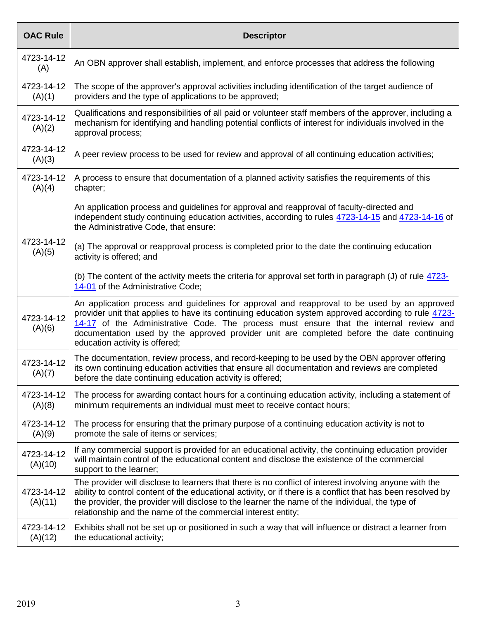| <b>OAC Rule</b>       | <b>Descriptor</b>                                                                                                                                                                                                                                                                                                                                                                                                           |
|-----------------------|-----------------------------------------------------------------------------------------------------------------------------------------------------------------------------------------------------------------------------------------------------------------------------------------------------------------------------------------------------------------------------------------------------------------------------|
| 4723-14-12<br>(A)     | An OBN approver shall establish, implement, and enforce processes that address the following                                                                                                                                                                                                                                                                                                                                |
| 4723-14-12<br>(A)(1)  | The scope of the approver's approval activities including identification of the target audience of<br>providers and the type of applications to be approved;                                                                                                                                                                                                                                                                |
| 4723-14-12<br>(A)(2)  | Qualifications and responsibilities of all paid or volunteer staff members of the approver, including a<br>mechanism for identifying and handling potential conflicts of interest for individuals involved in the<br>approval process;                                                                                                                                                                                      |
| 4723-14-12<br>(A)(3)  | A peer review process to be used for review and approval of all continuing education activities;                                                                                                                                                                                                                                                                                                                            |
| 4723-14-12<br>(A)(4)  | A process to ensure that documentation of a planned activity satisfies the requirements of this<br>chapter;                                                                                                                                                                                                                                                                                                                 |
|                       | An application process and guidelines for approval and reapproval of faculty-directed and<br>independent study continuing education activities, according to rules 4723-14-15 and 4723-14-16 of<br>the Administrative Code, that ensure:                                                                                                                                                                                    |
| 4723-14-12<br>(A)(5)  | (a) The approval or reapproval process is completed prior to the date the continuing education<br>activity is offered; and                                                                                                                                                                                                                                                                                                  |
|                       | (b) The content of the activity meets the criteria for approval set forth in paragraph (J) of rule 4723-<br>14-01 of the Administrative Code;                                                                                                                                                                                                                                                                               |
| 4723-14-12<br>(A)(6)  | An application process and guidelines for approval and reapproval to be used by an approved<br>provider unit that applies to have its continuing education system approved according to rule 4723-<br>14-17 of the Administrative Code. The process must ensure that the internal review and<br>documentation used by the approved provider unit are completed before the date continuing<br>education activity is offered; |
| 4723-14-12<br>(A)(7)  | The documentation, review process, and record-keeping to be used by the OBN approver offering<br>its own continuing education activities that ensure all documentation and reviews are completed<br>before the date continuing education activity is offered;                                                                                                                                                               |
| 4723-14-12<br>(A)(8)  | The process for awarding contact hours for a continuing education activity, including a statement of<br>minimum requirements an individual must meet to receive contact hours;                                                                                                                                                                                                                                              |
| 4723-14-12<br>(A)(9)  | The process for ensuring that the primary purpose of a continuing education activity is not to<br>promote the sale of items or services;                                                                                                                                                                                                                                                                                    |
| 4723-14-12<br>(A)(10) | If any commercial support is provided for an educational activity, the continuing education provider<br>will maintain control of the educational content and disclose the existence of the commercial<br>support to the learner;                                                                                                                                                                                            |
| 4723-14-12<br>(A)(11) | The provider will disclose to learners that there is no conflict of interest involving anyone with the<br>ability to control content of the educational activity, or if there is a conflict that has been resolved by<br>the provider, the provider will disclose to the learner the name of the individual, the type of<br>relationship and the name of the commercial interest entity;                                    |
| 4723-14-12<br>(A)(12) | Exhibits shall not be set up or positioned in such a way that will influence or distract a learner from<br>the educational activity;                                                                                                                                                                                                                                                                                        |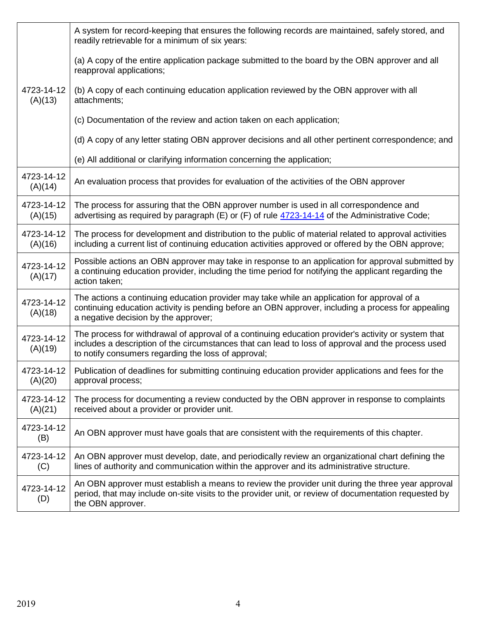|                       | A system for record-keeping that ensures the following records are maintained, safely stored, and<br>readily retrievable for a minimum of six years:                                                                                                             |
|-----------------------|------------------------------------------------------------------------------------------------------------------------------------------------------------------------------------------------------------------------------------------------------------------|
|                       | (a) A copy of the entire application package submitted to the board by the OBN approver and all<br>reapproval applications;                                                                                                                                      |
| 4723-14-12<br>(A)(13) | (b) A copy of each continuing education application reviewed by the OBN approver with all<br>attachments;                                                                                                                                                        |
|                       | (c) Documentation of the review and action taken on each application;                                                                                                                                                                                            |
|                       | (d) A copy of any letter stating OBN approver decisions and all other pertinent correspondence; and                                                                                                                                                              |
|                       | (e) All additional or clarifying information concerning the application;                                                                                                                                                                                         |
| 4723-14-12<br>(A)(14) | An evaluation process that provides for evaluation of the activities of the OBN approver                                                                                                                                                                         |
| 4723-14-12<br>(A)(15) | The process for assuring that the OBN approver number is used in all correspondence and<br>advertising as required by paragraph $(E)$ or $(F)$ of rule $4723-14-14$ of the Administrative Code;                                                                  |
| 4723-14-12<br>(A)(16) | The process for development and distribution to the public of material related to approval activities<br>including a current list of continuing education activities approved or offered by the OBN approve;                                                     |
| 4723-14-12<br>(A)(17) | Possible actions an OBN approver may take in response to an application for approval submitted by<br>a continuing education provider, including the time period for notifying the applicant regarding the<br>action taken;                                       |
| 4723-14-12<br>(A)(18) | The actions a continuing education provider may take while an application for approval of a<br>continuing education activity is pending before an OBN approver, including a process for appealing<br>a negative decision by the approver;                        |
| 4723-14-12<br>(A)(19) | The process for withdrawal of approval of a continuing education provider's activity or system that<br>includes a description of the circumstances that can lead to loss of approval and the process used<br>to notify consumers regarding the loss of approval; |
| 4723-14-12<br>(A)(20) | Publication of deadlines for submitting continuing education provider applications and fees for the<br>approval process;                                                                                                                                         |
| 4723-14-12<br>(A)(21) | The process for documenting a review conducted by the OBN approver in response to complaints<br>received about a provider or provider unit.                                                                                                                      |
| 4723-14-12<br>(B)     | An OBN approver must have goals that are consistent with the requirements of this chapter.                                                                                                                                                                       |
| 4723-14-12<br>(C)     | An OBN approver must develop, date, and periodically review an organizational chart defining the<br>lines of authority and communication within the approver and its administrative structure.                                                                   |
| 4723-14-12<br>(D)     | An OBN approver must establish a means to review the provider unit during the three year approval<br>period, that may include on-site visits to the provider unit, or review of documentation requested by<br>the OBN approver.                                  |